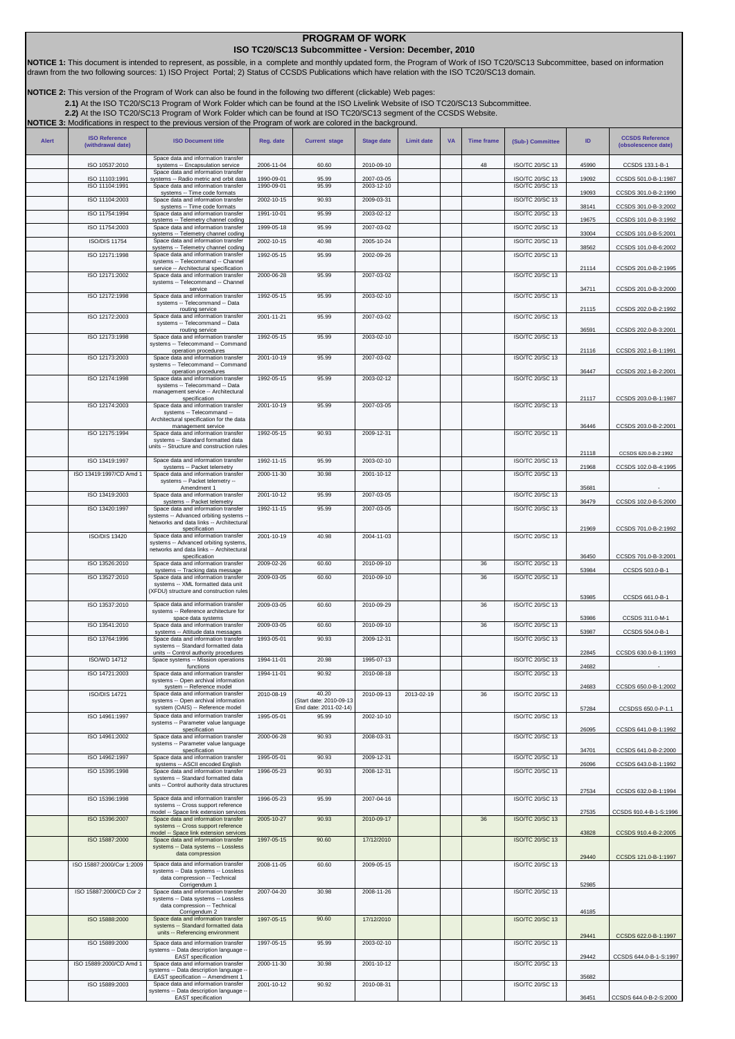## **PROGRAM OF WORK ISO TC20/SC13 Subcommittee - Version: December, 2010**

**NOTICE 1:** This document is intended to represent, as possible, in a complete and monthly updated form, the Program of Work of ISO TC20/SC13 Subcommittee, based on information<br>drawn from the two following sources: 1) ISO

**NOTICE 2:** This version of the Program of Work can also be found in the following two different (clickable) Web pages:

2.1)At the ISO TC20/SC13 Program of Work Folder which can be found at the ISO Livelink Website of ISO TC20/SC13 Subcommittee.<br>[2.2\)](http://cwe.ccsds.org/cmc/docs/Forms/AllItems.aspx?RootFolder=%2fcmc%2fdocs%2fISO%20TC20%2dSC13%2fISO%20TC20%2dSC13%20Meeting%20Minutes%20and%20Presentations&FolderCTID=&View=%7bD5DD30F7%2d53FC%2d45B9%2d8B93%2d709B280A475B%7d) At the ISO TC20/SC13 Program of Work Folder which can be found at ISO TC20/SC13 segment of

| <b>Alert</b> | <b>ISO Reference</b><br>(withdrawal date) | <b>ISO Document title</b>                                                                                                                                | Reg. date                | <b>Current stage</b>                                     | <b>Stage date</b>        | <b>Limit date</b> | <b>VA</b> | <b>Time frame</b> | (Sub-) Committee                          | ID    | <b>CCSDS Reference</b><br>(obsolescence date) |
|--------------|-------------------------------------------|----------------------------------------------------------------------------------------------------------------------------------------------------------|--------------------------|----------------------------------------------------------|--------------------------|-------------------|-----------|-------------------|-------------------------------------------|-------|-----------------------------------------------|
|              | ISO 10537:2010                            | Space data and information transfer<br>systems -- Encapsulation service                                                                                  | 2006-11-04               | 60.60                                                    | 2010-09-10               |                   |           | 48                | ISO/TC 20/SC 13                           | 45990 | CCSDS 133.1-B-1                               |
|              | ISO 11103:1991                            | Space data and information transfer<br>systems -- Radio metric and orbit data                                                                            | 1990-09-01               | 95.99                                                    | 2007-03-05               |                   |           |                   | ISO/TC 20/SC 13                           | 19092 | CCSDS 501.0-B-1:1987                          |
|              | ISO 11104:1991                            | Space data and information transfer<br>systems -- Time code formats                                                                                      | 1990-09-01               | 95.99                                                    | 2003-12-10               |                   |           |                   | <b>ISO/TC 20/SC 13</b>                    | 19093 | CCSDS 301.0-B-2:1990                          |
|              | ISO 11104:2003                            | Space data and information transfer<br>systems -- Time code formats                                                                                      | 2002-10-15               | 90.93                                                    | 2009-03-31               |                   |           |                   | <b>ISO/TC 20/SC 13</b>                    | 38141 | CCSDS 301.0-B-3:2002                          |
|              | ISO 11754:1994                            | Space data and information transfer<br>systems -- Telemetry channel coding                                                                               | 1991-10-01               | 95.99                                                    | 2003-02-12               |                   |           |                   | <b>ISO/TC 20/SC 13</b>                    | 19675 | CCSDS 101.0-B-3:1992                          |
|              | ISO 11754:2003                            | Space data and information transfer<br>systems -- Telemetry channel coding                                                                               | 1999-05-18               | 95.99                                                    | 2007-03-02               |                   |           |                   | ISO/TC 20/SC 13                           | 33004 | CCSDS 101.0-B-5:2001                          |
|              | <b>ISO/DIS 11754</b>                      | Space data and information transfer<br>systems -- Telemetry channel coding                                                                               | 2002-10-15               | 40.98                                                    | 2005-10-24               |                   |           |                   | ISO/TC 20/SC 13                           | 38562 | CCSDS 101.0-B-6:2002                          |
|              | ISO 12171:1998                            | Space data and information transfer<br>systems -- Telecommand -- Channel                                                                                 | 1992-05-15               | 95.99                                                    | 2002-09-26               |                   |           |                   | <b>ISO/TC 20/SC 13</b>                    | 21114 |                                               |
|              | ISO 12171:2002                            | service -- Architectural specification<br>Space data and information transfer<br>systems -- Telecommand -- Channel<br>service                            | 2000-06-28               | 95.99                                                    | 2007-03-02               |                   |           |                   | ISO/TC 20/SC 13                           | 34711 | CCSDS 201.0-B-2:1995<br>CCSDS 201.0-B-3:2000  |
|              | ISO 12172:1998                            | Space data and information transfer<br>systems -- Telecommand -- Data<br>routing service                                                                 | 1992-05-15               | 95.99                                                    | 2003-02-10               |                   |           |                   | ISO/TC 20/SC 13                           | 21115 | CCSDS 202.0-B-2:1992                          |
|              | ISO 12172:2003                            | Space data and information transfer<br>systems -- Telecommand -- Data<br>routing service                                                                 | 2001-11-21               | 95.99                                                    | 2007-03-02               |                   |           |                   | ISO/TC 20/SC 13                           | 36591 | CCSDS 202.0-B-3:2001                          |
|              | ISO 12173:1998                            | Space data and information transfer<br>systems -- Telecommand -- Command                                                                                 | 1992-05-15               | 95.99                                                    | 2003-02-10               |                   |           |                   | <b>ISO/TC 20/SC 13</b>                    |       |                                               |
|              | ISO 12173:2003                            | operation procedures<br>Space data and information transfer<br>systems -- Telecommand -- Command                                                         | 2001-10-19               | 95.99                                                    | 2007-03-02               |                   |           |                   | ISO/TC 20/SC 13                           | 21116 | CCSDS 202.1-B-1:1991                          |
|              | ISO 12174:1998                            | operation procedures<br>Space data and information transfer                                                                                              | 1992-05-15               | 95.99                                                    | 2003-02-12               |                   |           |                   | <b>ISO/TC 20/SC 13</b>                    | 36447 | CCSDS 202.1-B-2:2001                          |
|              |                                           | systems -- Telecommand -- Data<br>management service -- Architectural<br>specification                                                                   |                          |                                                          |                          |                   |           |                   |                                           | 21117 | CCSDS 203.0-B-1:1987                          |
|              | ISO 12174:2003                            | Space data and information transfer<br>systems -- Telecommand --<br>Architectural specification for the data                                             | 2001-10-19               | 95.99                                                    | 2007-03-05               |                   |           |                   | ISO/TC 20/SC 13                           |       |                                               |
|              | ISO 12175:1994                            | management service<br>Space data and information transfer<br>systems -- Standard formatted data                                                          | 1992-05-15               | 90.93                                                    | 2009-12-31               |                   |           |                   | ISO/TC 20/SC 13                           | 36446 | CCSDS 203.0-B-2:2001                          |
|              |                                           | units -- Structure and construction rules                                                                                                                |                          |                                                          |                          |                   |           |                   |                                           | 21118 | CCSDS 620.0-B-2:1992                          |
|              | ISO 13419:1997                            | Space data and information transfer<br>systems -- Packet telemetry                                                                                       | 1992-11-15               | 95.99                                                    | 2003-02-10               |                   |           |                   | ISO/TC 20/SC 13                           | 21968 | CCSDS 102.0-B-4:1995                          |
|              | ISO 13419:1997/CD Amd 1                   | Space data and information transfer<br>systems -- Packet telemetry --                                                                                    | 2000-11-30               | 30.98                                                    | 2001-10-12               |                   |           |                   | ISO/TC 20/SC 13                           |       |                                               |
|              | ISO 13419:2003                            | Amendment 1<br>Space data and information transfer                                                                                                       | 2001-10-12               | 95.99                                                    | 2007-03-05               |                   |           |                   | <b>ISO/TC 20/SC 13</b>                    | 35681 |                                               |
|              | ISO 13420:1997                            | systems -- Packet telemetry<br>Space data and information transfer<br>systems -- Advanced orbiting systems -<br>Networks and data links -- Architectural | 1992-11-15               | 95.99                                                    | 2007-03-05               |                   |           |                   | ISO/TC 20/SC 13                           | 36479 | CCSDS 102.0-B-5:2000                          |
|              | <b>ISO/DIS 13420</b>                      | specification<br>Space data and information transfer<br>systems -- Advanced orbiting systems,                                                            | 2001-10-19               | 40.98                                                    | 2004-11-03               |                   |           |                   | <b>ISO/TC 20/SC 13</b>                    | 21969 | CCSDS 701.0-B-2:1992                          |
|              |                                           | networks and data links -- Architectural<br>specification                                                                                                |                          |                                                          |                          |                   |           |                   |                                           | 36450 | CCSDS 701.0-B-3:2001                          |
|              | ISO 13526:2010                            | Space data and information transfer<br>systems -- Tracking data message                                                                                  | 2009-02-26               | 60.60                                                    | 2010-09-10               |                   |           | 36                | ISO/TC 20/SC 13                           | 53984 | CCSDS 503.0-B-1                               |
|              | ISO 13527:2010                            | Space data and information transfer<br>systems -- XML formatted data unit<br>(XFDU) structure and construction rules                                     | 2009-03-05               | 60.60                                                    | 2010-09-10               |                   |           | 36                | ISO/TC 20/SC 13                           | 53985 | CCSDS 661.0-B-1                               |
|              | ISO 13537:2010                            | Space data and information transfer<br>systems -- Reference architecture for<br>space data systems                                                       | 2009-03-05               | 60.60                                                    | 2010-09-29               |                   |           | 36                | <b>ISO/TC 20/SC 13</b>                    | 53986 | CCSDS 311.0-M-1                               |
|              | ISO 13541:2010                            | Space data and information transfer<br>systems -- Attitude data messages                                                                                 | 2009-03-05               | 60.60                                                    | 2010-09-10               |                   |           | 36                | ISO/TC 20/SC 13                           | 53987 | CCSDS 504.0-B-1                               |
|              | ISO 13764:1996                            | Space data and information transfer<br>systems -- Standard formatted data                                                                                | 1993-05-01               | 90.93                                                    | 2009-12-31               |                   |           |                   | ISO/TC 20/SC 13                           |       |                                               |
|              | <b>ISO/WD 14712</b>                       | units -- Control authority procedures<br>Space systems -- Mission operations                                                                             | 1994-11-01               | 20.98                                                    | 1995-07-13               |                   |           |                   | ISO/TC 20/SC 13                           | 22845 | CCSDS 630.0-B-1:1993                          |
|              | ISO 14721:2003                            | functions<br>Space data and information transfer                                                                                                         | 1994-11-01               | 90.92                                                    | 2010-08-18               |                   |           |                   | <b>ISO/TC 20/SC 13</b>                    | 24682 |                                               |
|              |                                           | systems -- Open archival information<br>system -- Reference model                                                                                        |                          |                                                          |                          |                   |           |                   |                                           | 24683 | CCSDS 650.0-B-1:2002                          |
|              | <b>ISO/DIS 14721</b>                      | Space data and information transfer<br>systems -- Open archival information<br>system (OAIS) -- Reference model                                          | 2010-08-19               | 40.20<br>Start date: 2010-09-13<br>End date: 2011-02-14) | 2010-09-13               | 2013-02-19        |           | 36                | ISO/TC 20/SC 13                           | 57284 | CCSDSS 650.0-P-1.1                            |
|              | ISO 14961:1997                            | Space data and information transfer<br>systems -- Parameter value language                                                                               | 1995-05-01               | 95.99                                                    | 2002-10-10               |                   |           |                   | ISO/TC 20/SC 13                           |       |                                               |
|              | ISO 14961:2002                            | specification<br>Space data and information transfer                                                                                                     | 2000-06-28               | 90.93                                                    | 2008-03-31               |                   |           |                   | ISO/TC 20/SC 13                           | 26095 | CCSDS 641.0-B-1:1992                          |
|              |                                           | systems -- Parameter value language<br>specification                                                                                                     |                          |                                                          |                          |                   |           |                   |                                           | 34701 | CCSDS 641.0-B-2:2000                          |
|              | ISO 14962:1997<br>ISO 15395:1998          | Space data and information transfer<br>systems -- ASCII encoded English<br>Space data and information transfer                                           | 1995-05-01<br>1996-05-23 | 90.93<br>90.93                                           | 2009-12-31<br>2008-12-31 |                   |           |                   | ISO/TC 20/SC 13<br><b>ISO/TC 20/SC 13</b> | 26096 | CCSDS 643.0-B-1:1992                          |
|              |                                           | systems -- Standard formatted data<br>units -- Control authority data structures                                                                         |                          |                                                          |                          |                   |           |                   |                                           |       |                                               |
|              | ISO 15396:1998                            | Space data and information transfer<br>systems -- Cross support reference                                                                                | 1996-05-23               | 95.99                                                    | 2007-04-16               |                   |           |                   | <b>ISO/TC 20/SC 13</b>                    | 27534 | CCSDS 632.0-B-1:1994                          |
|              | ISO 15396:2007                            | model -- Space link extension services<br>Space data and information transfer                                                                            | 2005-10-27               | 90.93                                                    | 2010-09-17               |                   |           | 36                | <b>ISO/TC 20/SC 13</b>                    | 27535 | CCSDS 910.4-B-1-S:1996                        |
|              | ISO 15887:2000                            | systems -- Cross support reference<br>model -- Space link extension services<br>Space data and information transfer                                      | 1997-05-15               | 90.60                                                    | 17/12/2010               |                   |           |                   | <b>ISO/TC 20/SC 13</b>                    | 43828 | CCSDS 910.4-B-2:2005                          |
|              |                                           | systems -- Data systems -- Lossless<br>data compression                                                                                                  |                          |                                                          |                          |                   |           |                   |                                           | 29440 | CCSDS 121.0-B-1:1997                          |
|              | ISO 15887:2000/Cor 1:2009                 | Space data and information transfer<br>systems -- Data systems -- Lossless<br>data compression -- Technical<br>Corrigendum 1                             | 2008-11-05               | 60.60                                                    | 2009-05-15               |                   |           |                   | ISO/TC 20/SC 13                           | 52985 |                                               |
|              | ISO 15887:2000/CD Cor 2                   | Space data and information transfer<br>systems -- Data systems -- Lossless<br>data compression -- Technical                                              | 2007-04-20               | 30.98                                                    | 2008-11-26               |                   |           |                   | ISO/TC 20/SC 13                           |       |                                               |
|              | ISO 15888:2000                            | Corrigendum 2<br>Space data and information transfer                                                                                                     | 1997-05-15               | 90.60                                                    | 17/12/2010               |                   |           |                   | <b>ISO/TC 20/SC 13</b>                    | 46185 |                                               |
|              |                                           | systems -- Standard formatted data<br>units -- Referencing environment                                                                                   |                          |                                                          |                          |                   |           |                   |                                           | 29441 | CCSDS 622.0-B-1:1997                          |
|              | ISO 15889:2000                            | Space data and information transfer<br>systems -- Data description language -<br>EAST specification                                                      | 1997-05-15               | 95.99                                                    | 2003-02-10               |                   |           |                   | <b>ISO/TC 20/SC 13</b>                    | 29442 | CCSDS 644.0-B-1-S:1997                        |
|              | ISO 15889:2000/CD Amd 1                   | Space data and information transfer<br>systems -- Data description language -                                                                            | 2000-11-30               | 30.98                                                    | 2001-10-12               |                   |           |                   | ISO/TC 20/SC 13                           |       |                                               |
|              | ISO 15889:2003                            | EAST specification -- Amendment 1<br>Space data and information transfer                                                                                 | 2001-10-12               | 90.92                                                    | 2010-08-31               |                   |           |                   | <b>ISO/TC 20/SC 13</b>                    | 35682 |                                               |
|              |                                           | systems -- Data description language -<br><b>EAST</b> specification                                                                                      |                          |                                                          |                          |                   |           |                   |                                           | 36451 | CCSDS 644.0-B-2-S:2000                        |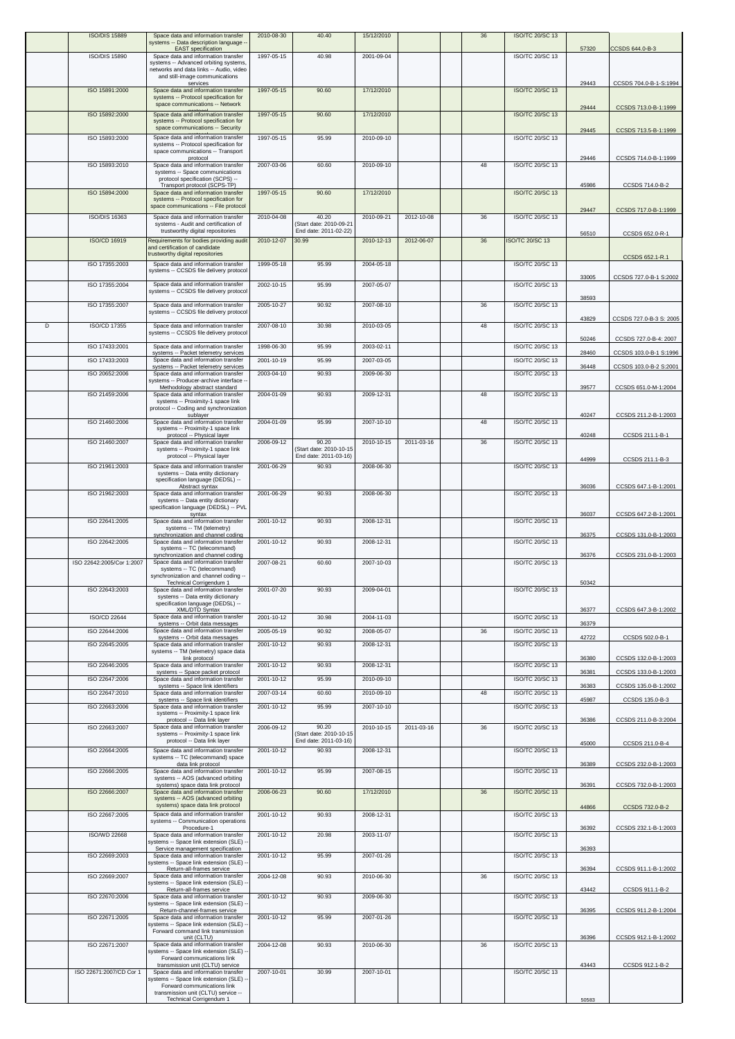|   | <b>ISO/DIS 15889</b>             | Space data and information transfer<br>systems -- Data description language -                                                    | 2010-08-30               | 40.40                                                     | 15/12/2010               |            | 36 | ISO/TC 20/SC 13                           | 57320          |                                                 |
|---|----------------------------------|----------------------------------------------------------------------------------------------------------------------------------|--------------------------|-----------------------------------------------------------|--------------------------|------------|----|-------------------------------------------|----------------|-------------------------------------------------|
|   | <b>ISO/DIS 15890</b>             | <b>EAST</b> specification<br>Space data and information transfer<br>systems -- Advanced orbiting systems,                        | 1997-05-15               | 40.98                                                     | 2001-09-04               |            |    | <b>ISO/TC 20/SC 13</b>                    |                | CCSDS 644.0-B-3                                 |
|   |                                  | networks and data links -- Audio, video<br>and still-image communications                                                        |                          |                                                           |                          |            |    |                                           |                |                                                 |
|   | ISO 15891:2000                   | services<br>Space data and information transfer<br>systems -- Protocol specification for<br>space communications -- Network      | 1997-05-15               | 90.60                                                     | 17/12/2010               |            |    | ISO/TC 20/SC 13                           | 29443          | CCSDS 704.0-B-1-S:1994                          |
|   | ISO 15892:2000                   | Space data and information transfer<br>systems -- Protocol specification for<br>space communications -- Security                 | 1997-05-15               | 90.60                                                     | 17/12/2010               |            |    | ISO/TC 20/SC 13                           | 29444          | CCSDS 713.0-B-1:1999                            |
|   | ISO 15893:2000                   | Space data and information transfer<br>systems -- Protocol specification for                                                     | 1997-05-15               | 95.99                                                     | 2010-09-10               |            |    | <b>ISO/TC 20/SC 13</b>                    | 29445          | CCSDS 713.5-B-1:1999                            |
|   | ISO 15893:2010                   | space communications -- Transport<br>protocol<br>Space data and information transfer<br>systems -- Space communications          | 2007-03-06               | 60.60                                                     | 2010-09-10               |            | 48 | ISO/TC 20/SC 13                           | 29446          | CCSDS 714.0-B-1:1999                            |
|   | ISO 15894:2000                   | protocol specification (SCPS) --<br>Transport protocol (SCPS-TP)<br>Space data and information transfer                          | 1997-05-15               | 90.60                                                     | 17/12/2010               |            |    | ISO/TC 20/SC 13                           | 45986          | CCSDS 714.0-B-2                                 |
|   | <b>ISO/DIS 16363</b>             | systems -- Protocol specification for<br>space communications -- File protocol<br>Space data and information transfer            | 2010-04-08               | 40.20                                                     | 2010-09-21               | 2012-10-08 | 36 | ISO/TC 20/SC 13                           | 29447          | CCSDS 717.0-B-1:1999                            |
|   | ISO/CD 16919                     | systems - Audit and certification of<br>trustworthy digital repositories<br>Requirements for bodies providing audit              | 2010-12-07               | (Start date: 2010-09-21<br>End date: 2011-02-22)<br>30.99 | 2010-12-13               | 2012-06-07 | 36 | <b>ISO/TC 20/SC 13</b>                    | 56510          | CCSDS 652.0-R-1                                 |
|   | ISO 17355:2003                   | and certification of candidate<br>trustworthy digital repositories<br>Space data and information transfer                        | 1999-05-18               | 95.99                                                     | 2004-05-18               |            |    | ISO/TC 20/SC 13                           |                | CCSDS 652.1-R.1                                 |
|   | ISO 17355:2004                   | systems -- CCSDS file delivery protocol<br>Space data and information transfer                                                   |                          | 95.99                                                     | 2007-05-07               |            |    | ISO/TC 20/SC 13                           | 33005          | CCSDS 727.0-B-1 S:2002                          |
|   |                                  | systems -- CCSDS file delivery protocol                                                                                          | 2002-10-15               |                                                           |                          |            |    |                                           | 38593          |                                                 |
|   | ISO 17355:2007                   | Space data and information transfer<br>systems -- CCSDS file delivery protocol                                                   | 2005-10-27               | 90.92                                                     | 2007-08-10               |            | 36 | ISO/TC 20/SC 13                           | 43829          | CCSDS 727.0-B-3 S: 2005                         |
| D | ISO/CD 17355                     | Space data and information transfer<br>systems -- CCSDS file delivery protocol                                                   | 2007-08-10               | 30.98                                                     | 2010-03-05               |            | 48 | ISO/TC 20/SC 13                           |                |                                                 |
|   | ISO 17433:2001                   | Space data and information transfer<br>systems -- Packet telemetry services                                                      | 1998-06-30               | 95.99                                                     | 2003-02-11               |            |    | ISO/TC 20/SC 13                           | 50246<br>28460 | CCSDS 727.0-B-4: 2007<br>CCSDS 103.0-B-1 S:1996 |
|   | ISO 17433:2003                   | Space data and information transfer<br>systems -- Packet telemetry services                                                      | 2001-10-19               | 95.99                                                     | 2007-03-05               |            |    | <b>ISO/TC 20/SC 13</b>                    | 36448          | CCSDS 103.0-B-2 S:2001                          |
|   | ISO 20652:2006                   | Space data and information transfer<br>systems -- Producer-archive interface -<br>Methodology abstract standard                  | 2003-04-10               | 90.93                                                     | 2009-06-30               |            |    | ISO/TC 20/SC 13                           | 39577          | CCSDS 651.0-M-1:2004                            |
|   | ISO 21459:2006                   | Space data and information transfer<br>systems -- Proximity-1 space link<br>protocol -- Coding and synchronization               | 2004-01-09               | 90.93                                                     | 2009-12-31               |            | 48 | ISO/TC 20/SC 13                           |                |                                                 |
|   | ISO 21460:2006                   | sublayer<br>Space data and information transfer<br>systems -- Proximity-1 space link                                             | 2004-01-09               | 95.99                                                     | 2007-10-10               |            | 48 | ISO/TC 20/SC 13                           | 40247          | CCSDS 211.2-B-1:2003                            |
|   | ISO 21460:2007                   | protocol -- Physical layer<br>Space data and information transfer<br>systems -- Proximity-1 space link                           | 2006-09-12               | 90.20<br>(Start date: 2010-10-15<br>End date: 2011-03-16) | 2010-10-15               | 2011-03-16 | 36 | ISO/TC 20/SC 13                           | 40248          | CCSDS 211.1-B-1                                 |
|   | ISO 21961:2003                   | protocol -- Physical layer<br>Space data and information transfer<br>systems -- Data entity dictionary                           | 2001-06-29               | 90.93                                                     | 2008-06-30               |            |    | ISO/TC 20/SC 13                           | 44999          | CCSDS 211.1-B-3                                 |
|   | ISO 21962:2003                   | specification language (DEDSL) --<br>Abstract syntax<br>Space data and information transfer<br>systems -- Data entity dictionary | 2001-06-29               | 90.93                                                     | 2008-06-30               |            |    | ISO/TC 20/SC 13                           | 36036          | CCSDS 647.1-B-1:2001                            |
|   | ISO 22641:2005                   | specification language (DEDSL) -- PVL<br>syntax<br>Space data and information transfer                                           | 2001-10-12               | 90.93                                                     | 2008-12-31               |            |    | ISO/TC 20/SC 13                           | 36037          | CCSDS 647.2-B-1:2001                            |
|   | ISO 22642:2005                   | systems -- TM (telemetry)<br>synchronization and channel coding<br>Space data and information transfer                           | 2001-10-12               | 90.93                                                     | 2008-12-31               |            |    | ISO/TC 20/SC 13                           | 36375          | CCSDS 131.0-B-1:2003                            |
|   | ISO 22642:2005/Cor 1:2007        | systems -- TC (telecommand)<br>synchronization and channel coding<br>Space data and information transfer                         | 2007-08-21               | 60.60                                                     | 2007-10-03               |            |    | ISO/TC 20/SC 13                           | 36376          | CCSDS 231.0-B-1:2003                            |
|   |                                  | systems -- TC (telecommand)<br>synchronization and channel coding --<br>Technical Corrigendum 1                                  |                          |                                                           |                          |            |    |                                           | 50342          |                                                 |
|   | ISO 22643:2003                   | Space data and information transfer<br>systems -- Data entity dictionary<br>specification language (DEDSL) --<br>XML/DTD Syntax  | 2001-07-20               | 90.93                                                     | 2009-04-01               |            |    | ISO/TC 20/SC 13                           | 36377          | CCSDS 647.3-B-1:2002                            |
|   | <b>ISO/CD 22644</b>              | Space data and information transfer<br>systems -- Orbit data messages                                                            | 2001-10-12               | 30.98                                                     | 2004-11-03               |            |    | <b>ISO/TC 20/SC 13</b>                    | 36379          |                                                 |
|   | ISO 22644:2006                   | Space data and information transfer<br>systems -- Orbit data messages                                                            | 2005-05-19               | 90.92                                                     | 2008-05-07               |            | 36 | ISO/TC 20/SC 13                           | 42722          | CCSDS 502.0-B-1                                 |
|   | ISO 22645:2005                   | Space data and information transfer<br>systems -- TM (telemetry) space data<br>link protocol                                     | 2001-10-12               | 90.93                                                     | 2008-12-31               |            |    | ISO/TC 20/SC 13                           | 36380          | CCSDS 132.0-B-1:2003                            |
|   | ISO 22646:2005                   | Space data and information transfer<br>systems -- Space packet protocol                                                          | 2001-10-12               | 90.93                                                     | 2008-12-31               |            |    | <b>ISO/TC 20/SC 13</b>                    | 36381          | CCSDS 133.0-B-1:2003                            |
|   | ISO 22647:2006<br>ISO 22647:2010 | Space data and information transfer<br>systems -- Space link identifiers<br>Space data and information transfer                  | 2001-10-12<br>2007-03-14 | 95.99<br>60.60                                            | 2010-09-10<br>2010-09-10 |            | 48 | ISO/TC 20/SC 13<br><b>ISO/TC 20/SC 13</b> | 36383          | CCSDS 135.0-B-1:2002                            |
|   | ISO 22663:2006                   | systems -- Space link identifiers<br>Space data and information transfer                                                         | 2001-10-12               | 95.99                                                     | 2007-10-10               |            |    | ISO/TC 20/SC 13                           | 45987          | CCSDS 135.0-B-3                                 |
|   | ISO 22663:2007                   | systems -- Proximity-1 space link<br>protocol -- Data link layer<br>Space data and information transfer                          | 2006-09-12               | 90.20                                                     | 2010-10-15               | 2011-03-16 | 36 | ISO/TC 20/SC 13                           | 36386          | CCSDS 211.0-B-3:2004                            |
|   |                                  | systems -- Proximity-1 space link<br>protocol -- Data link layer                                                                 |                          | (Start date: 2010-10-15<br>End date: 2011-03-16)          |                          |            |    |                                           | 45000          | CCSDS 211.0-B-4                                 |
|   | ISO 22664:2005                   | Space data and information transfer<br>systems -- TC (telecommand) space<br>data link protocol                                   | 2001-10-12               | 90.93                                                     | 2008-12-31               |            |    | ISO/TC 20/SC 13                           | 36389          | CCSDS 232.0-B-1:2003                            |
|   | ISO 22666:2005                   | Space data and information transfer<br>systems -- AOS (advanced orbiting<br>systems) space data link protocol                    | 2001-10-12               | 95.99                                                     | 2007-08-15               |            |    | ISO/TC 20/SC 13                           | 36391          | CCSDS 732.0-B-1:2003                            |
|   | ISO 22666:2007                   | Space data and information transfer<br>systems -- AOS (advanced orbiting<br>systems) space data link protocol                    | 2006-06-23               | 90.60                                                     | 17/12/2010               |            | 36 | ISO/TC 20/SC 13                           |                |                                                 |
|   | ISO 22667:2005                   | Space data and information transfer<br>systems -- Communication operations                                                       | 2001-10-12               | 90.93                                                     | 2008-12-31               |            |    | ISO/TC 20/SC 13                           | 44866          | CCSDS 732.0-B-2                                 |
|   | <b>ISO/WD 22668</b>              | Procedure-1<br>Space data and information transfer<br>systems -- Space link extension (SLE)                                      | 2001-10-12               | 20.98                                                     | 2003-11-07               |            |    | ISO/TC 20/SC 13                           | 36392          | CCSDS 232.1-B-1:2003                            |
|   | ISO 22669:2003                   | Service management specification<br>Space data and information transfer                                                          | 2001-10-12               | 95.99                                                     | 2007-01-26               |            |    | ISO/TC 20/SC 13                           | 36393          |                                                 |
|   | ISO 22669:2007                   | systems -- Space link extension (SLE) -<br>Return-all-frames service<br>Space data and information transfer                      | 2004-12-08               | 90.93                                                     | 2010-06-30               |            | 36 | ISO/TC 20/SC 13                           | 36394          | CCSDS 911.1-B-1:2002                            |
|   | ISO 22670:2006                   | systems -- Space link extension (SLE)<br>Return-all-frames service<br>Space data and information transfer                        | 2001-10-12               | 90.93                                                     | 2009-06-30               |            |    | ISO/TC 20/SC 13                           | 43442          | CCSDS 911.1-B-2                                 |
|   |                                  | systems -- Space link extension (SLE) -<br>Return-channel-frames service                                                         |                          |                                                           |                          |            |    |                                           | 36395          | CCSDS 911.2-B-1:2004                            |
|   | ISO 22671:2005                   | Space data and information transfer<br>ystems -- Space link extension (SLE)<br>Forward command link transmission                 | 2001-10-12               | 95.99                                                     | 2007-01-26               |            |    | ISO/TC 20/SC 13                           |                |                                                 |
|   | ISO 22671:2007                   | unit (CLTU)<br>Space data and information transfer<br>systems -- Space link extension (SLE) -<br>Forward communications link     | 2004-12-08               | 90.93                                                     | 2010-06-30               |            | 36 | <b>ISO/TC 20/SC 13</b>                    | 36396          | CCSDS 912.1-B-1:2002                            |
|   | ISO 22671:2007/CD Cor 1          | transmission unit (CLTU) service<br>Space data and information transfer                                                          | 2007-10-01               | 30.99                                                     | 2007-10-01               |            |    | ISO/TC 20/SC 13                           | 43443          | CCSDS 912.1-B-2                                 |
|   |                                  | systems -- Space link extension (SLE) -<br>Forward communications link<br>transmission unit (CLTU) service --                    |                          |                                                           |                          |            |    |                                           |                |                                                 |
|   |                                  | Technical Corrigendum 1                                                                                                          |                          |                                                           |                          |            |    |                                           | 50583          |                                                 |